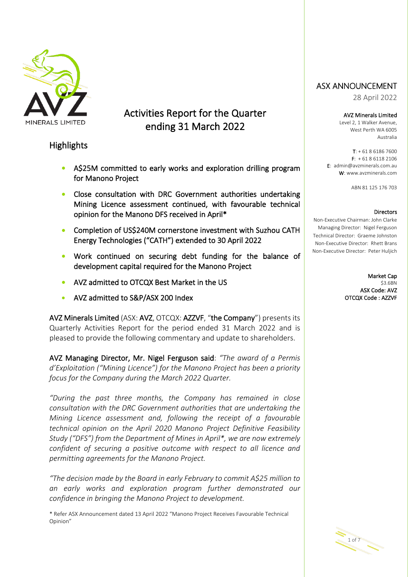

Activities Report for the Quarter ending 31 March 2022

## **Highlights**

- A\$25M committed to early works and exploration drilling program for Manono Project
- Close consultation with DRC Government authorities undertaking Mining Licence assessment continued, with favourable technical opinion for the Manono DFS received in April\*
- Completion of US\$240M cornerstone investment with Suzhou CATH Energy Technologies ("CATH") extended to 30 April 2022
- Work continued on securing debt funding for the balance of development capital required for the Manono Project
- AVZ admitted to OTCQX Best Market in the US
- AVZ admitted to S&P/ASX 200 Index

AVZ Minerals Limited (ASX: AVZ, OTCQX: AZZVF, "the Company") presents its Quarterly Activities Report for the period ended 31 March 2022 and is pleased to provide the following commentary and update to shareholders.

AVZ Managing Director, Mr. Nigel Ferguson said: *"The award of a Permis d'Exploitation ("Mining Licence") for the Manono Project has been a priority focus for the Company during the March 2022 Quarter.*

*"During the past three months, the Company has remained in close consultation with the DRC Government authorities that are undertaking the Mining Licence assessment and, following the receipt of a favourable technical opinion on the April 2020 Manono Project Definitive Feasibility Study ("DFS") from the Department of Mines in April\*, we are now extremely confident of securing a positive outcome with respect to all licence and permitting agreements for the Manono Project.*

*"The decision made by the Board in early February to commit A\$25 million to an early works and exploration program further demonstrated our confidence in bringing the Manono Project to development.*

\* Refer ASX Announcement dated 13 April 2022 "Manono Project Receives Favourable Technical Opinion"

## ASX ANNOUNCEMENT

<sup>28</sup> April 2022

AVZ Minerals Limited

Level 2, 1 Walker Avenue, West Perth WA 6005 Australia

T: + 61 8 6186 7600  $F: +61861182106$ E: admin@avzminerals.com.au W: www.avzminerals.com

ABN 81 125 176 703

#### **Directors**

Non-Executive Chairman: John Clarke Managing Director: Nigel Ferguson Technical Director: Graeme Johnston Non-Executive Director: Rhett Brans Non-Executive Director: Peter Huljich

> Market Cap \$3.6BN ASX Code: AVZ OTCQX Code : AZZVF

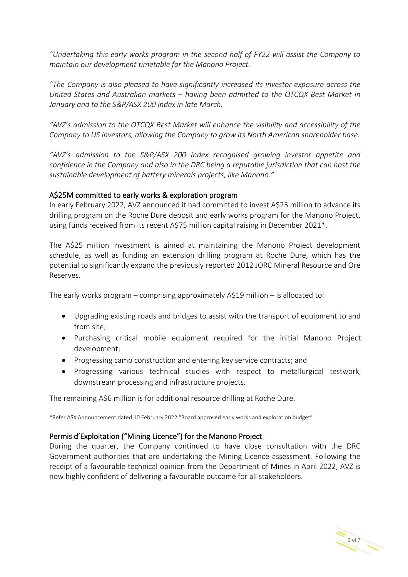*"Undertaking this early works program in the second half of FY22 will assist the Company to maintain our development timetable for the Manono Project.*

*"The Company is also pleased to have significantly increased its investor exposure across the United States and Australian markets – having been admitted to the OTCQX Best Market in January and to the S&P/ASX 200 Index in late March.*

*"AVZ's admission to the OTCQX Best Market will enhance the visibility and accessibility of the Company to US investors, allowing the Company to grow its North American shareholder base.* 

*"AVZ's admission to the S&P/ASX 200 Index recognised growing investor appetite and confidence in the Company and also in the DRC being a reputable jurisdiction that can host the sustainable development of battery minerals projects, like Manono."*

## A\$25M committed to early works & exploration program

In early February 2022, AVZ announced it had committed to invest A\$25 million to advance its drilling program on the Roche Dure deposit and early works program for the Manono Project, using funds received from its recent A\$75 million capital raising in December 2021\*.

The A\$25 million investment is aimed at maintaining the Manono Project development schedule, as well as funding an extension drilling program at Roche Dure, which has the potential to significantly expand the previously reported 2012 JORC Mineral Resource and Ore Reserves.

The early works program – comprising approximately A\$19 million – is allocated to:

- Upgrading existing roads and bridges to assist with the transport of equipment to and from site;
- Purchasing critical mobile equipment required for the initial Manono Project development;
- Progressing camp construction and entering key service contracts; and
- Progressing various technical studies with respect to metallurgical testwork, downstream processing and infrastructure projects.

The remaining A\$6 million is for additional resource drilling at Roche Dure.

\*Refer ASX Announcement dated 10 February 2022 "Board approved early works and exploration budget"

## Permis d'Exploitation ("Mining Licence") for the Manono Project

During the quarter, the Company continued to have close consultation with the DRC Government authorities that are undertaking the Mining Licence assessment. Following the receipt of a favourable technical opinion from the Department of Mines in April 2022, AVZ is now highly confident of delivering a favourable outcome for all stakeholders.

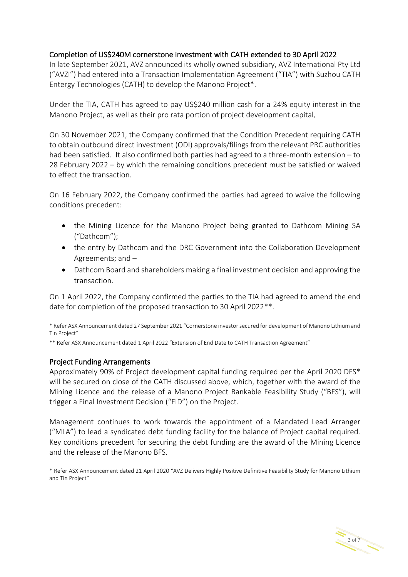## Completion of US\$240M cornerstone investment with CATH extended to 30 April 2022

In late September 2021, AVZ announced its wholly owned subsidiary, AVZ International Pty Ltd ("AVZI") had entered into a Transaction Implementation Agreement ("TIA") with Suzhou CATH Entergy Technologies (CATH) to develop the Manono Project\*.

Under the TIA, CATH has agreed to pay US\$240 million cash for a 24% equity interest in the Manono Project, as well as their pro rata portion of project development capital.

On 30 November 2021, the Company confirmed that the Condition Precedent requiring CATH to obtain outbound direct investment (ODI) approvals/filings from the relevant PRC authorities had been satisfied. It also confirmed both parties had agreed to a three-month extension – to 28 February 2022 – by which the remaining conditions precedent must be satisfied or waived to effect the transaction.

On 16 February 2022, the Company confirmed the parties had agreed to waive the following conditions precedent:

- the Mining Licence for the Manono Project being granted to Dathcom Mining SA ("Dathcom");
- the entry by Dathcom and the DRC Government into the Collaboration Development Agreements; and –
- Dathcom Board and shareholders making a final investment decision and approving the transaction.

On 1 April 2022, the Company confirmed the parties to the TIA had agreed to amend the end date for completion of the proposed transaction to 30 April 2022\*\*.

\* Refer ASX Announcement dated 27 September 2021 "Cornerstone investor secured for development of Manono Lithium and Tin Project"

\*\* Refer ASX Announcement dated 1 April 2022 "Extension of End Date to CATH Transaction Agreement"

## Project Funding Arrangements

Approximately 90% of Project development capital funding required per the April 2020 DFS\* will be secured on close of the CATH discussed above, which, together with the award of the Mining Licence and the release of a Manono Project Bankable Feasibility Study ("BFS"), will trigger a Final Investment Decision ("FID") on the Project.

Management continues to work towards the appointment of a Mandated Lead Arranger ("MLA") to lead a syndicated debt funding facility for the balance of Project capital required. Key conditions precedent for securing the debt funding are the award of the Mining Licence and the release of the Manono BFS.

\* Refer ASX Announcement dated 21 April 2020 "AVZ Delivers Highly Positive Definitive Feasibility Study for Manono Lithium and Tin Project"

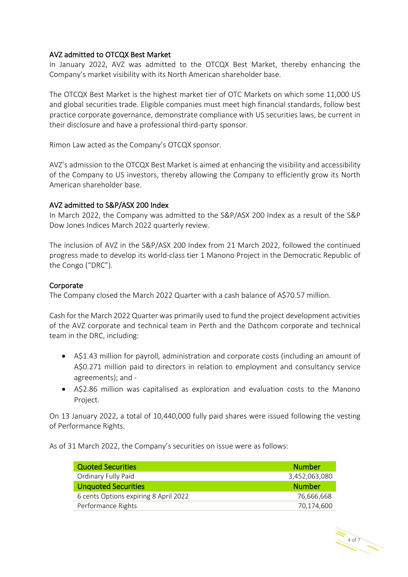## AVZ admitted to OTCQX Best Market

In January 2022, AVZ was admitted to the OTCQX Best Market, thereby enhancing the Company's market visibility with its North American shareholder base.

The OTCQX Best Market is the highest market tier of OTC Markets on which some 11,000 US and global securities trade. Eligible companies must meet high financial standards, follow best practice corporate governance, demonstrate compliance with US securities laws, be current in their disclosure and have a professional third-party sponsor.

Rimon Law acted as the Company's OTCQX sponsor.

AVZ's admission to the OTCQX Best Market is aimed at enhancing the visibility and accessibility of the Company to US investors, thereby allowing the Company to efficiently grow its North American shareholder base.

## AVZ admitted to S&P/ASX 200 Index

In March 2022, the Company was admitted to the S&P/ASX 200 Index as a result of the S&P Dow Jones Indices March 2022 quarterly review.

The inclusion of AVZ in the S&P/ASX 200 Index from 21 March 2022, followed the continued progress made to develop its world-class tier 1 Manono Project in the Democratic Republic of the Congo ("DRC").

## Corporate

The Company closed the March 2022 Quarter with a cash balance of A\$70.57 million.

Cash for the March 2022 Quarter was primarily used to fund the project development activities of the AVZ corporate and technical team in Perth and the Dathcom corporate and technical team in the DRC, including:

- A\$1.43 million for payroll, administration and corporate costs (including an amount of A\$0.271 million paid to directors in relation to employment and consultancy service agreements); and -
- A\$2.86 million was capitalised as exploration and evaluation costs to the Manono Project.

On 13 January 2022, a total of 10,440,000 fully paid shares were issued following the vesting of Performance Rights.

As of 31 March 2022, the Company's securities on issue were as follows:

| <b>Quoted Securities</b>              | <b>Number</b> |
|---------------------------------------|---------------|
| Ordinary Fully Paid                   | 3,452,063,080 |
| <b>Unquoted Securities</b>            | <b>Number</b> |
| 6 cents Options expiring 8 April 2022 | 76,666,668    |
| Performance Rights                    | 70,174,600    |

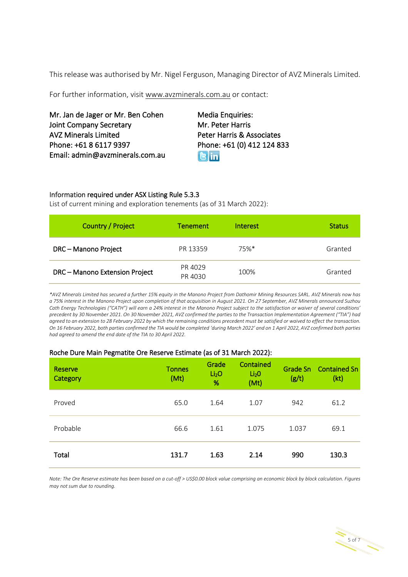This release was authorised by Mr. Nigel Ferguson, Managing Director of AVZ Minerals Limited.

For further information, visit [www.avzminerals.com.au](http://www.avzminerals.com.au/) or contact:

Mr. Jan de Jager or Mr. Ben Cohen Media Enquiries: Joint Company Secretary Mr. Peter Harris AVZ Minerals Limited **Peter Harris & Associates** Phone: +61 8 6117 9397 Phone: +61 (0) 412 124 833 Email: admin@avzminerals.com.au

**R**lin

#### Information required under ASX Listing Rule 5.3.3

List of current mining and exploration tenements (as of 31 March 2022):

| Country / Project              | <b>Tenement</b>    | <b>Interest</b> | <b>Status</b> |
|--------------------------------|--------------------|-----------------|---------------|
| DRC - Manono Project           | PR 13359           | 75%*            | Granted       |
| DRC - Manono Extension Project | PR 4029<br>PR 4030 | 100%            | Granted       |

*\*AVZ Minerals Limited has secured a further 15% equity in the Manono Project from Dathomir Mining Resources SARL. AVZ Minerals now has a 75% interest in the Manono Project upon completion of that acquisition in August 2021. On 27 September, AVZ Minerals announced Suzhou Cath Energy Technologies ("CATH") will earn a 24% interest in the Manono Project subject to the satisfaction or waiver of several conditions' precedent by 30 November 2021. On 30 November 2021, AVZ confirmed the parties to the Transaction Implementation Agreement ("TIA") had agreed to an extension to 28 February 2022 by which the remaining conditions precedent must be satisfied or waived to effect the transaction. On 16 February 2022, both parties confirmed the TIA would be completed 'during March 2022' and on 1 April 2022, AVZ confirmed both parties had agreed to amend the end date of the TIA to 30 April 2022.*

#### Roche Dure Main Pegmatite Ore Reserve Estimate (as of 31 March 2022):

| Reserve<br>Category | <b>Tonnes</b><br>(Mt) | Grade<br>Li <sub>2</sub> O<br>% | Contained<br>Li <sub>2</sub> O<br>(Mt) | (g/t) | Grade Sn Contained Sn<br>(kt) |
|---------------------|-----------------------|---------------------------------|----------------------------------------|-------|-------------------------------|
| Proved              | 65.0                  | 1.64                            | 1.07                                   | 942   | 61.2                          |
| Probable            | 66.6                  | 1.61                            | 1.075                                  | 1.037 | 69.1                          |
| Total               | 131.7                 | 1.63                            | 2.14                                   | 990   | 130.3                         |

*Note: The Ore Reserve estimate has been based on a cut-off > US\$0.00 block value comprising an economic block by block calculation. Figures may not sum due to rounding.*

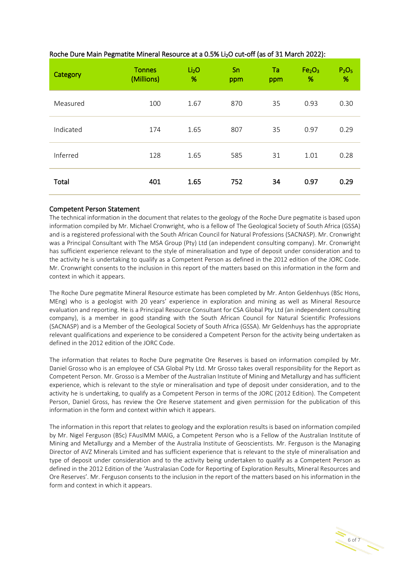| Category  | <b>Tonnes</b><br>(Millions) | Li <sub>2</sub> O<br>% | Sn<br>ppm | Ta<br>ppm | Fe <sub>2</sub> O <sub>3</sub><br>% | P <sub>2</sub> O <sub>5</sub><br>% |
|-----------|-----------------------------|------------------------|-----------|-----------|-------------------------------------|------------------------------------|
| Measured  | 100                         | 1.67                   | 870       | 35        | 0.93                                | 0.30                               |
| Indicated | 174                         | 1.65                   | 807       | 35        | 0.97                                | 0.29                               |
| Inferred  | 128                         | 1.65                   | 585       | 31        | 1.01                                | 0.28                               |
| Total     | 401                         | 1.65                   | 752       | 34        | 0.97                                | 0.29                               |

#### Roche Dure Main Pegmatite Mineral Resource at a 0.5% Li<sub>2</sub>O cut-off (as of 31 March 2022):

#### Competent Person Statement

The technical information in the document that relates to the geology of the Roche Dure pegmatite is based upon information compiled by Mr. Michael Cronwright, who is a fellow of The Geological Society of South Africa (GSSA) and is a registered professional with the South African Council for Natural Professions (SACNASP). Mr. Cronwright was a Principal Consultant with The MSA Group (Pty) Ltd (an independent consulting company). Mr. Cronwright has sufficient experience relevant to the style of mineralisation and type of deposit under consideration and to the activity he is undertaking to qualify as a Competent Person as defined in the 2012 edition of the JORC Code. Mr. Cronwright consents to the inclusion in this report of the matters based on this information in the form and context in which it appears.

The Roche Dure pegmatite Mineral Resource estimate has been completed by Mr. Anton Geldenhuys (BSc Hons, MEng) who is a geologist with 20 years' experience in exploration and mining as well as Mineral Resource evaluation and reporting. He is a Principal Resource Consultant for CSA Global Pty Ltd (an independent consulting company), is a member in good standing with the South African Council for Natural Scientific Professions (SACNASP) and is a Member of the Geological Society of South Africa (GSSA). Mr Geldenhuys has the appropriate relevant qualifications and experience to be considered a Competent Person for the activity being undertaken as defined in the 2012 edition of the JORC Code.

The information that relates to Roche Dure pegmatite Ore Reserves is based on information compiled by Mr. Daniel Grosso who is an employee of CSA Global Pty Ltd. Mr Grosso takes overall responsibility for the Report as Competent Person. Mr. Grosso is a Member of the Australian Institute of Mining and Metallurgy and has sufficient experience, which is relevant to the style or mineralisation and type of deposit under consideration, and to the activity he is undertaking, to qualify as a Competent Person in terms of the JORC (2012 Edition). The Competent Person, Daniel Gross, has review the Ore Reserve statement and given permission for the publication of this information in the form and context within which it appears.

The information in this report that relates to geology and the exploration results is based on information compiled by Mr. Nigel Ferguson (BSc) FAusIMM MAIG, a Competent Person who is a Fellow of the Australian Institute of Mining and Metallurgy and a Member of the Australia Institute of Geoscientists. Mr. Ferguson is the Managing Director of AVZ Minerals Limited and has sufficient experience that is relevant to the style of mineralisation and type of deposit under consideration and to the activity being undertaken to qualify as a Competent Person as defined in the 2012 Edition of the 'Australasian Code for Reporting of Exploration Results, Mineral Resources and Ore Reserves'. Mr. Ferguson consents to the inclusion in the report of the matters based on his information in the form and context in which it appears.

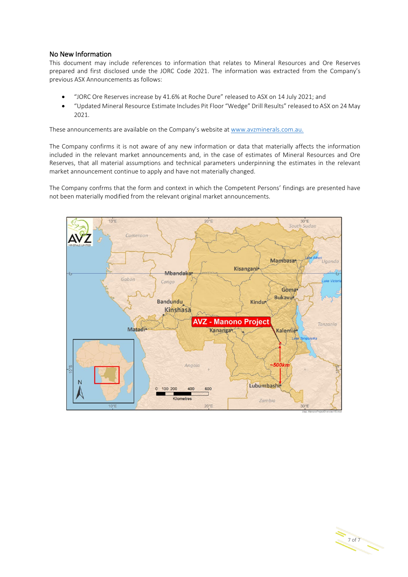#### No New Information

This document may include references to information that relates to Mineral Resources and Ore Reserves prepared and first disclosed unde the JORC Code 2021. The information was extracted from the Company's previous ASX Announcements as follows:

- "JORC Ore Reserves increase by 41.6% at Roche Dure" released to ASX on 14 July 2021; and
- "Updated Mineral Resource Estimate Includes Pit Floor "Wedge" Drill Results" released to ASX on 24 May 2021.

These announcements are available on the Company's website at [www.avzminerals.com.au.](http://www.avzminerals.com.au/)

The Company confirms it is not aware of any new information or data that materially affects the information included in the relevant market announcements and, in the case of estimates of Mineral Resources and Ore Reserves, that all material assumptions and technical parameters underpinning the estimates in the relevant market announcement continue to apply and have not materially changed.

The Company confrms that the form and context in which the Competent Persons' findings are presented have not been materially modified from the relevant original market announcements.



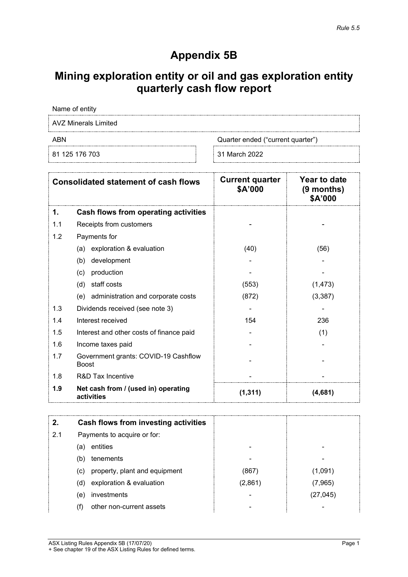# **Appendix 5B**

# **Mining exploration entity or oil and gas exploration entity quarterly cash flow report**

Name of entity

AVZ Minerals Limited

ABN Cuarter ended ("current quarter")

81 125 176 703 31 March 2022

|     | <b>Consolidated statement of cash flows</b>          | <b>Current quarter</b><br>\$A'000 | <b>Year to date</b><br>$(9$ months)<br>\$A'000 |
|-----|------------------------------------------------------|-----------------------------------|------------------------------------------------|
| 1.  | Cash flows from operating activities                 |                                   |                                                |
| 1.1 | Receipts from customers                              |                                   |                                                |
| 1.2 | Payments for                                         |                                   |                                                |
|     | exploration & evaluation<br>(a)                      | (40)                              | (56)                                           |
|     | development<br>(b)                                   |                                   |                                                |
|     | production<br>(c)                                    |                                   |                                                |
|     | staff costs<br>(d)                                   | (553)                             | (1, 473)                                       |
|     | administration and corporate costs<br>(e)            | (872)                             | (3, 387)                                       |
| 1.3 | Dividends received (see note 3)                      |                                   |                                                |
| 1.4 | Interest received                                    | 154                               | 236                                            |
| 1.5 | Interest and other costs of finance paid             |                                   | (1)                                            |
| 1.6 | Income taxes paid                                    |                                   |                                                |
| 1.7 | Government grants: COVID-19 Cashflow<br><b>Boost</b> |                                   |                                                |
| 1.8 | R&D Tax Incentive                                    |                                   |                                                |
| 1.9 | Net cash from / (used in) operating<br>activities    | (1, 311)                          | (4,681)                                        |

| 2.  | Cash flows from investing activities |         |           |
|-----|--------------------------------------|---------|-----------|
| 2.1 | Payments to acquire or for:          |         |           |
|     | entities<br>(a)                      |         |           |
|     | tenements<br>(b)                     | -       |           |
|     | property, plant and equipment<br>(c) | (867)   | (1,091)   |
|     | exploration & evaluation<br>(d)      | (2,861) | (7,965)   |
|     | investments<br>(e)                   |         | (27, 045) |
|     | other non-current assets             |         |           |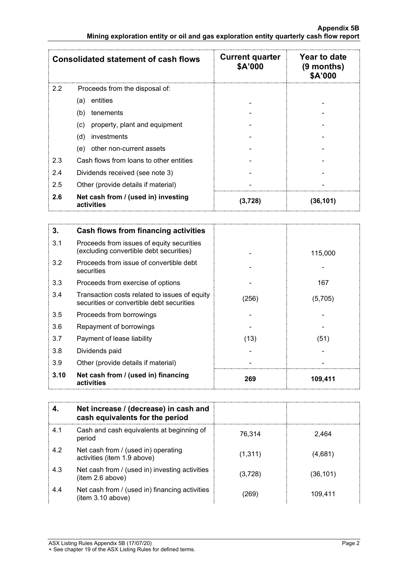|               | <b>Consolidated statement of cash flows</b>       | <b>Current quarter</b><br>\$A'000 | Year to date<br>$(9$ months)<br>\$A'000 |
|---------------|---------------------------------------------------|-----------------------------------|-----------------------------------------|
| $2.2^{\circ}$ | Proceeds from the disposal of:                    |                                   |                                         |
|               | entities<br>(a)                                   |                                   |                                         |
|               | (b)<br>tenements                                  |                                   |                                         |
|               | property, plant and equipment<br>(c)              |                                   |                                         |
|               | (d)<br>investments                                |                                   |                                         |
|               | other non-current assets<br>(e)                   |                                   |                                         |
| 2.3           | Cash flows from loans to other entities           |                                   |                                         |
| 2.4           | Dividends received (see note 3)                   |                                   |                                         |
| 2.5           | Other (provide details if material)               |                                   |                                         |
| 2.6           | Net cash from / (used in) investing<br>activities | (3.728)                           | (36,101)                                |

| 3.   | Cash flows from financing activities                                                       |       |         |
|------|--------------------------------------------------------------------------------------------|-------|---------|
| 3.1  | Proceeds from issues of equity securities<br>(excluding convertible debt securities)       |       | 115,000 |
| 3.2  | Proceeds from issue of convertible debt<br>securities                                      |       |         |
| 3.3  | Proceeds from exercise of options                                                          |       | 167     |
| 3.4  | Transaction costs related to issues of equity<br>securities or convertible debt securities | (256) | (5,705) |
| 3.5  | Proceeds from borrowings                                                                   |       |         |
| 3.6  | Repayment of borrowings                                                                    |       |         |
| 3.7  | Payment of lease liability                                                                 | (13)  | (51)    |
| 3.8  | Dividends paid                                                                             |       |         |
| 3.9  | Other (provide details if material)                                                        |       |         |
| 3.10 | Net cash from / (used in) financing<br>activities                                          | 269   | 109,411 |

|     | Net increase / (decrease) in cash and<br>cash equivalents for the period |          |           |
|-----|--------------------------------------------------------------------------|----------|-----------|
| 4.1 | Cash and cash equivalents at beginning of<br>period                      | 76.314   | 2.464     |
| 4.2 | Net cash from / (used in) operating<br>activities (item 1.9 above)       | (1, 311) | (4,681)   |
| 4.3 | Net cash from / (used in) investing activities<br>(item 2.6 above)       | (3,728)  | (36, 101) |
| 4.4 | Net cash from / (used in) financing activities<br>(item 3.10 above)      | 269      | 109,411   |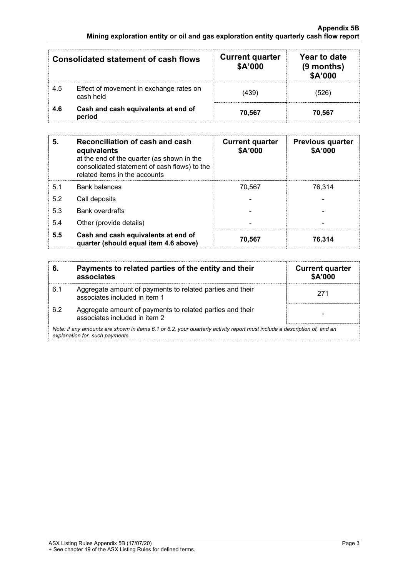#### **Appendix 5B Mining exploration entity or oil and gas exploration entity quarterly cash flow report**

|     | <b>Consolidated statement of cash flows</b>          | <b>Current quarter</b><br>\$A'000 | Year to date<br>$(9$ months)<br>\$A'000 |
|-----|------------------------------------------------------|-----------------------------------|-----------------------------------------|
| 4.5 | Effect of movement in exchange rates on<br>cash held | (439)                             | 526                                     |
| 4.6 | Cash and cash equivalents at end of<br>period        | 70.567                            | 70.567                                  |

| 5.             | <b>Reconciliation of cash and cash</b><br>equivalents<br>at the end of the quarter (as shown in the<br>consolidated statement of cash flows) to the<br>related items in the accounts | <b>Current quarter</b><br>\$A'000 | <b>Previous quarter</b><br>\$A'000 |
|----------------|--------------------------------------------------------------------------------------------------------------------------------------------------------------------------------------|-----------------------------------|------------------------------------|
| 5 <sub>1</sub> | <b>Bank balances</b>                                                                                                                                                                 | 70.567                            | 76.314                             |
| 5.2            | Call deposits                                                                                                                                                                        |                                   |                                    |
| 5.3            | <b>Bank overdrafts</b>                                                                                                                                                               |                                   |                                    |
| 5.4            | Other (provide details)                                                                                                                                                              |                                   |                                    |
| 5.5            | Cash and cash equivalents at end of<br>quarter (should equal item 4.6 above)                                                                                                         | 70,567                            | 76,314                             |

| 6.  | Payments to related parties of the entity and their<br>associates                                                                                           | <b>Current quarter</b><br><b>\$A'000</b> |  |  |  |
|-----|-------------------------------------------------------------------------------------------------------------------------------------------------------------|------------------------------------------|--|--|--|
| 6.1 | Aggregate amount of payments to related parties and their<br>associates included in item 1                                                                  | 271                                      |  |  |  |
| 6.2 | Aggregate amount of payments to related parties and their<br>associates included in item 2                                                                  |                                          |  |  |  |
|     | Note: if any amounts are shown in items 6.1 or 6.2, your quarterly activity report must include a description of, and an<br>explanation for, such payments. |                                          |  |  |  |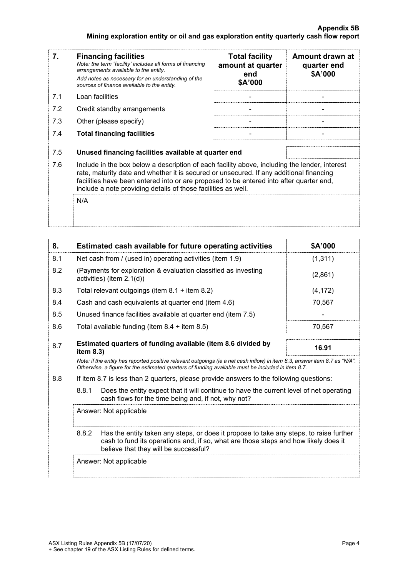#### **Appendix 5B Mining exploration entity or oil and gas exploration entity quarterly cash flow report**

| 7.  | <b>Financing facilities</b><br>Note: the term "facility' includes all forms of financing<br>arrangements available to the entity.<br>Add notes as necessary for an understanding of the<br>sources of finance available to the entity.                                                                                                               | <b>Total facility</b><br>amount at quarter<br>end<br>\$A'000 | Amount drawn at<br>quarter end<br>\$A'000 |
|-----|------------------------------------------------------------------------------------------------------------------------------------------------------------------------------------------------------------------------------------------------------------------------------------------------------------------------------------------------------|--------------------------------------------------------------|-------------------------------------------|
| 7.1 | Loan facilities                                                                                                                                                                                                                                                                                                                                      |                                                              |                                           |
| 7.2 | Credit standby arrangements                                                                                                                                                                                                                                                                                                                          |                                                              |                                           |
| 7.3 | Other (please specify)                                                                                                                                                                                                                                                                                                                               |                                                              |                                           |
| 7.4 | <b>Total financing facilities</b>                                                                                                                                                                                                                                                                                                                    |                                                              |                                           |
| 7.5 | Unused financing facilities available at quarter end                                                                                                                                                                                                                                                                                                 |                                                              |                                           |
| 7.6 | Include in the box below a description of each facility above, including the lender, interest<br>rate, maturity date and whether it is secured or unsecured. If any additional financing<br>facilities have been entered into or are proposed to be entered into after quarter end,<br>include a note providing details of those facilities as well. |                                                              |                                           |
|     | N/A                                                                                                                                                                                                                                                                                                                                                  |                                                              |                                           |

| 8.  | Estimated cash available for future operating activities                                                                                                                                                                        | <b>SA'000</b> |
|-----|---------------------------------------------------------------------------------------------------------------------------------------------------------------------------------------------------------------------------------|---------------|
| 8.1 | Net cash from / (used in) operating activities (item 1.9)                                                                                                                                                                       | (1, 311)      |
| 8.2 | (Payments for exploration & evaluation classified as investing<br>activities) (item $2.1(d)$ )                                                                                                                                  | (2,861)       |
| 8.3 | Total relevant outgoings (item $8.1$ + item $8.2$ )                                                                                                                                                                             | (4, 172)      |
| 8.4 | Cash and cash equivalents at quarter end (item 4.6)                                                                                                                                                                             | 70,567        |
| 8.5 | Unused finance facilities available at quarter end (item 7.5)                                                                                                                                                                   |               |
| 8.6 | Total available funding (item $8.4 +$ item $8.5$ )                                                                                                                                                                              | 70.567        |
| 8.7 | Estimated quarters of funding available (item 8.6 divided by<br>item $8.3$ )                                                                                                                                                    | 16.91         |
|     | Note: if the entity has reported positive relevant outgoings (ie a net cash inflow) in item 8.3, answer item 8.7 as "N/A".<br>Otherwise, a figure for the estimated quarters of funding available must be included in item 8.7. |               |

8.8 If item 8.7 is less than 2 quarters, please provide answers to the following questions:

8.8.1 Does the entity expect that it will continue to have the current level of net operating cash flows for the time being and, if not, why not?

Answer: Not applicable

8.8.2 Has the entity taken any steps, or does it propose to take any steps, to raise further cash to fund its operations and, if so, what are those steps and how likely does it believe that they will be successful?

Answer: Not applicable